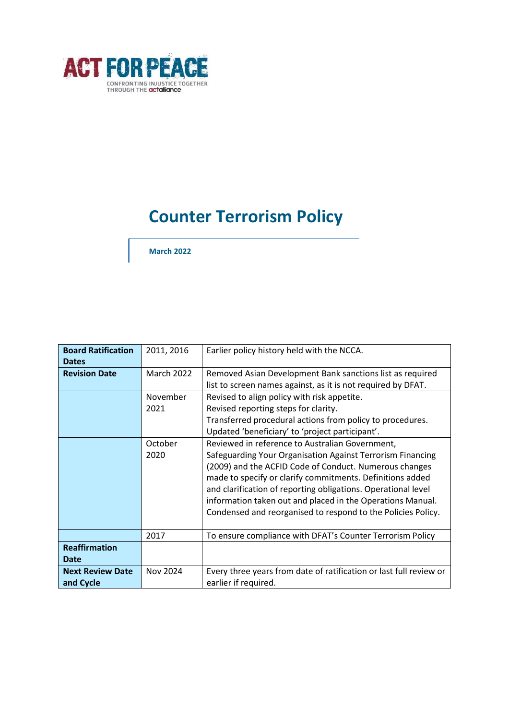

# **Counter Terrorism Policy**

**March 2022**

| <b>Board Ratification</b><br><b>Dates</b> | 2011, 2016        | Earlier policy history held with the NCCA.                                                                                                                                                                                                                                                                                                                                                                                          |
|-------------------------------------------|-------------------|-------------------------------------------------------------------------------------------------------------------------------------------------------------------------------------------------------------------------------------------------------------------------------------------------------------------------------------------------------------------------------------------------------------------------------------|
| <b>Revision Date</b>                      | <b>March 2022</b> | Removed Asian Development Bank sanctions list as required<br>list to screen names against, as it is not required by DFAT.                                                                                                                                                                                                                                                                                                           |
|                                           | November<br>2021  | Revised to align policy with risk appetite.<br>Revised reporting steps for clarity.<br>Transferred procedural actions from policy to procedures.<br>Updated 'beneficiary' to 'project participant'.                                                                                                                                                                                                                                 |
|                                           | October<br>2020   | Reviewed in reference to Australian Government,<br>Safeguarding Your Organisation Against Terrorism Financing<br>(2009) and the ACFID Code of Conduct. Numerous changes<br>made to specify or clarify commitments. Definitions added<br>and clarification of reporting obligations. Operational level<br>information taken out and placed in the Operations Manual.<br>Condensed and reorganised to respond to the Policies Policy. |
|                                           | 2017              | To ensure compliance with DFAT's Counter Terrorism Policy                                                                                                                                                                                                                                                                                                                                                                           |
| <b>Reaffirmation</b><br><b>Date</b>       |                   |                                                                                                                                                                                                                                                                                                                                                                                                                                     |
| <b>Next Review Date</b><br>and Cycle      | Nov 2024          | Every three years from date of ratification or last full review or<br>earlier if required.                                                                                                                                                                                                                                                                                                                                          |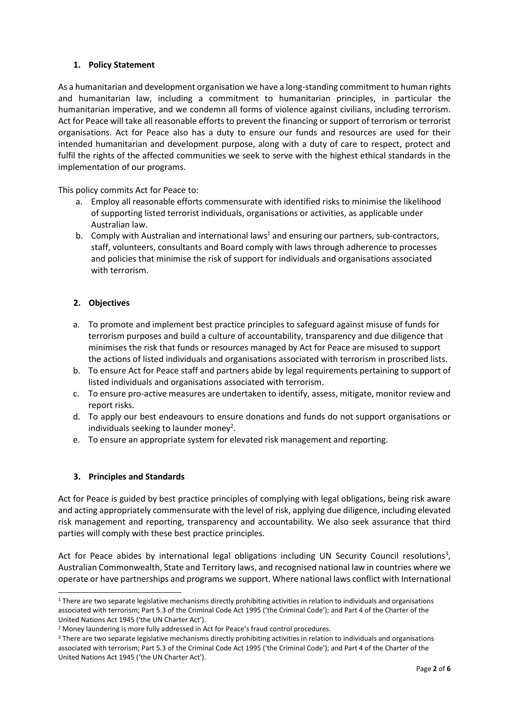## **1. Policy Statement**

As a humanitarian and development organisation we have a long-standing commitment to human rights and humanitarian law, including a commitment to humanitarian principles, in particular the humanitarian imperative, and we condemn all forms of violence against civilians, including terrorism. Act for Peace will take all reasonable efforts to prevent the financing or support of terrorism or terrorist organisations. Act for Peace also has a duty to ensure our funds and resources are used for their intended humanitarian and development purpose, along with a duty of care to respect, protect and fulfil the rights of the affected communities we seek to serve with the highest ethical standards in the implementation of our programs.

This policy commits Act for Peace to:

- a. Employ all reasonable efforts commensurate with identified risks to minimise the likelihood of supporting listed terrorist individuals, organisations or activities, as applicable under Australian law.
- b. Comply with Australian and international laws<sup>1</sup> and ensuring our partners, sub-contractors, staff, volunteers, consultants and Board comply with laws through adherence to processes and policies that minimise the risk of support for individuals and organisations associated with terrorism.

## **2. Objectives**

- a. To promote and implement best practice principles to safeguard against misuse of funds for terrorism purposes and build a culture of accountability, transparency and due diligence that minimises the risk that funds or resources managed by Act for Peace are misused to support the actions of listed individuals and organisations associated with terrorism in proscribed lists.
- b. To ensure Act for Peace staff and partners abide by legal requirements pertaining to support of listed individuals and organisations associated with terrorism.
- c. To ensure pro-active measures are undertaken to identify, assess, mitigate, monitor review and report risks.
- d. To apply our best endeavours to ensure donations and funds do not support organisations or individuals seeking to launder money<sup>2</sup>.
- e. To ensure an appropriate system for elevated risk management and reporting.

### **3. Principles and Standards**

Act for Peace is guided by best practice principles of complying with legal obligations, being risk aware and acting appropriately commensurate with the level of risk, applying due diligence, including elevated risk management and reporting, transparency and accountability. We also seek assurance that third parties will comply with these best practice principles.

Act for Peace abides by international legal obligations including UN Security Council resolutions<sup>3</sup>, Australian Commonwealth, State and Territory laws, and recognised national law in countries where we operate or have partnerships and programs we support. Where national laws conflict with International

<sup>&</sup>lt;sup>1</sup> There are two separate legislative mechanisms directly prohibiting activities in relation to individuals and organisations associated with terrorism; Part 5.3 of the Criminal Code Act 1995 ('the Criminal Code'); and Part 4 of the Charter of the United Nations Act 1945 ('the UN Charter Act').

<sup>2</sup> Money laundering is more fully addressed in Act for Peace's fraud control procedures.

<sup>&</sup>lt;sup>3</sup> There are two separate legislative mechanisms directly prohibiting activities in relation to individuals and organisations associated with terrorism; Part 5.3 of the Criminal Code Act 1995 ('the Criminal Code'); and Part 4 of the Charter of the United Nations Act 1945 ('the UN Charter Act').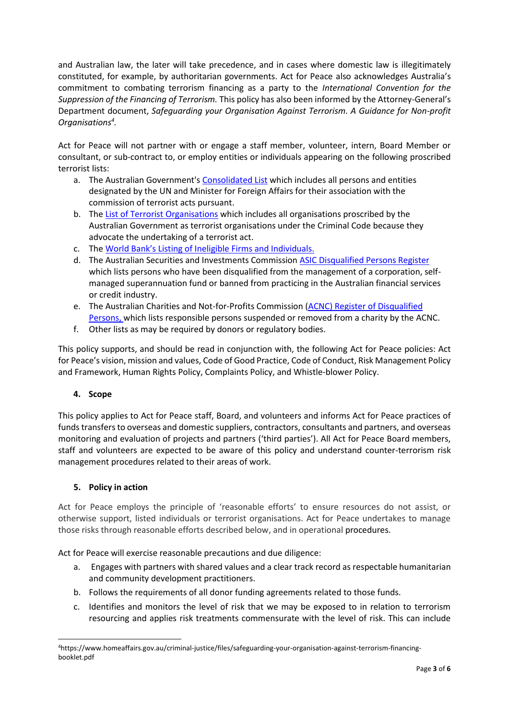and Australian law, the later will take precedence, and in cases where domestic law is illegitimately constituted, for example, by authoritarian governments. Act for Peace also acknowledges Australia's commitment to combating terrorism financing as a party to the *International Convention for the Suppression of the Financing of Terrorism.* This policy has also been informed by the Attorney-General's Department document, *Safeguarding your Organisation Against Terrorism. A Guidance for Non-profit Organisations<sup>4</sup> .*

Act for Peace will not partner with or engage a staff member, volunteer, intern, Board Member or consultant, or sub-contract to, or employ entities or individuals appearing on the following proscribed terrorist lists:

- a. The Australian Government'[s Consolidated List](http://dfat.gov.au/international-relations/security/sanctions/pages/consolidated-list.aspx#list) which includes all persons and entities designated by the UN and Minister for Foreign Affairs for their association with the commission of terrorist acts pursuant.
- b. The [List of Terrorist Organisations](https://www.nationalsecurity.gov.au/Listedterroristorganisations/Pages/default.aspx) which includes all organisations proscribed by the Australian Government as terrorist organisations under the Criminal Code because they advocate the undertaking of a terrorist act.
- c. The [World Bank's Listing of Ineligible Firms and Individuals](https://www.worldbank.org/en/projects-operations/procurement/debarred-firms).
- d. The Australian Securities and Investments Commission [ASIC Disqualified Persons Register](http://asic.gov.au/online-services/search-asics-registers/banned-and-disqualified) which lists persons who have been disqualified from the management of a corporation, selfmanaged superannuation fund or banned from practicing in the Australian financial services or credit industry.
- e. The Australian Charities and Not-for-Profits Commission (ACNC) [Register of Disqualified](https://www.acnc.gov.au/charity/about-charity-register/information-charity-register/disqualified-persons-register)  [Persons,](https://www.acnc.gov.au/charity/about-charity-register/information-charity-register/disqualified-persons-register) which lists responsible persons suspended or removed from a charity by the ACNC.
- f. Other lists as may be required by donors or regulatory bodies.

This policy supports, and should be read in conjunction with, the following Act for Peace policies: Act for Peace's vision, mission and values, Code of Good Practice, Code of Conduct, Risk Management Policy and Framework, Human Rights Policy, Complaints Policy, and Whistle-blower Policy.

# **4. Scope**

This policy applies to Act for Peace staff, Board, and volunteers and informs Act for Peace practices of funds transfers to overseas and domestic suppliers, contractors, consultants and partners, and overseas monitoring and evaluation of projects and partners ('third parties'). All Act for Peace Board members, staff and volunteers are expected to be aware of this policy and understand counter-terrorism risk management procedures related to their areas of work.

# **5. Policy in action**

Act for Peace employs the principle of 'reasonable efforts' to ensure resources do not assist, or otherwise support, listed individuals or terrorist organisations. Act for Peace undertakes to manage those risks through reasonable efforts described below, and in operational procedures.

Act for Peace will exercise reasonable precautions and due diligence:

- a. Engages with partners with shared values and a clear track record as respectable humanitarian and community development practitioners.
- b. Follows the requirements of all donor funding agreements related to those funds.
- c. Identifies and monitors the level of risk that we may be exposed to in relation to terrorism resourcing and applies risk treatments commensurate with the level of risk. This can include

<sup>4</sup>https://www.homeaffairs.gov.au/criminal-justice/files/safeguarding-your-organisation-against-terrorism-financingbooklet.pdf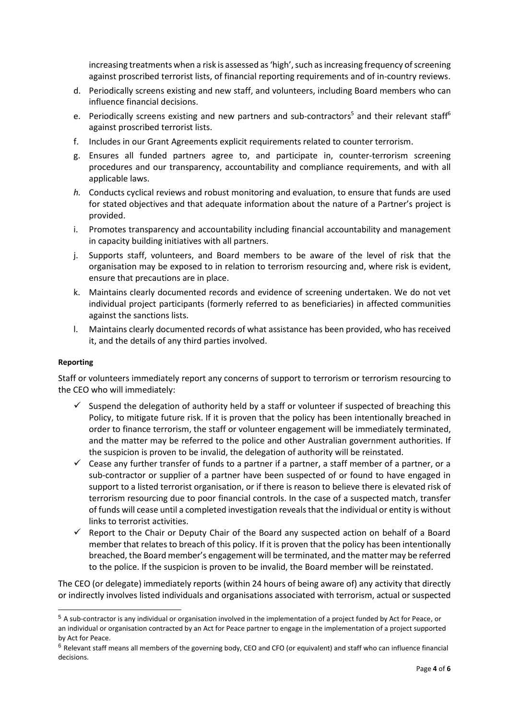increasing treatments when a risk is assessed as 'high', such as increasing frequency of screening against proscribed terrorist lists, of financial reporting requirements and of in-country reviews.

- d. Periodically screens existing and new staff, and volunteers, including Board members who can influence financial decisions.
- e. Periodically screens existing and new partners and sub-contractors<sup>5</sup> and their relevant staff<sup>6</sup> against proscribed terrorist lists.
- f. Includes in our Grant Agreements explicit requirements related to counter terrorism.
- g. Ensures all funded partners agree to, and participate in, counter-terrorism screening procedures and our transparency, accountability and compliance requirements, and with all applicable laws.
- *h.* Conducts cyclical reviews and robust monitoring and evaluation, to ensure that funds are used for stated objectives and that adequate information about the nature of a Partner's project is provided.
- i. Promotes transparency and accountability including financial accountability and management in capacity building initiatives with all partners.
- j. Supports staff, volunteers, and Board members to be aware of the level of risk that the organisation may be exposed to in relation to terrorism resourcing and, where risk is evident, ensure that precautions are in place.
- k. Maintains clearly documented records and evidence of screening undertaken. We do not vet individual project participants (formerly referred to as beneficiaries) in affected communities against the sanctions lists.
- l. Maintains clearly documented records of what assistance has been provided, who has received it, and the details of any third parties involved.

#### **Reporting**

Staff or volunteers immediately report any concerns of support to terrorism or terrorism resourcing to the CEO who will immediately:

- $\checkmark$  Suspend the delegation of authority held by a staff or volunteer if suspected of breaching this Policy, to mitigate future risk. If it is proven that the policy has been intentionally breached in order to finance terrorism, the staff or volunteer engagement will be immediately terminated, and the matter may be referred to the police and other Australian government authorities. If the suspicion is proven to be invalid, the delegation of authority will be reinstated.
- $\checkmark$  Cease any further transfer of funds to a partner if a partner, a staff member of a partner, or a sub-contractor or supplier of a partner have been suspected of or found to have engaged in support to a listed terrorist organisation, or if there is reason to believe there is elevated risk of terrorism resourcing due to poor financial controls. In the case of a suspected match, transfer of funds will cease until a completed investigation reveals that the individual or entity is without links to terrorist activities.
- $\checkmark$  Report to the Chair or Deputy Chair of the Board any suspected action on behalf of a Board member that relates to breach of this policy. If it is proven that the policy has been intentionally breached, the Board member's engagement will be terminated, and the matter may be referred to the police. If the suspicion is proven to be invalid, the Board member will be reinstated.

The CEO (or delegate) immediately reports (within 24 hours of being aware of) any activity that directly or indirectly involves listed individuals and organisations associated with terrorism, actual or suspected

<sup>5</sup> A sub-contractor is any individual or organisation involved in the implementation of a project funded by Act for Peace, or an individual or organisation contracted by an Act for Peace partner to engage in the implementation of a project supported by Act for Peace.

 $6$  Relevant staff means all members of the governing body, CEO and CFO (or equivalent) and staff who can influence financial decisions.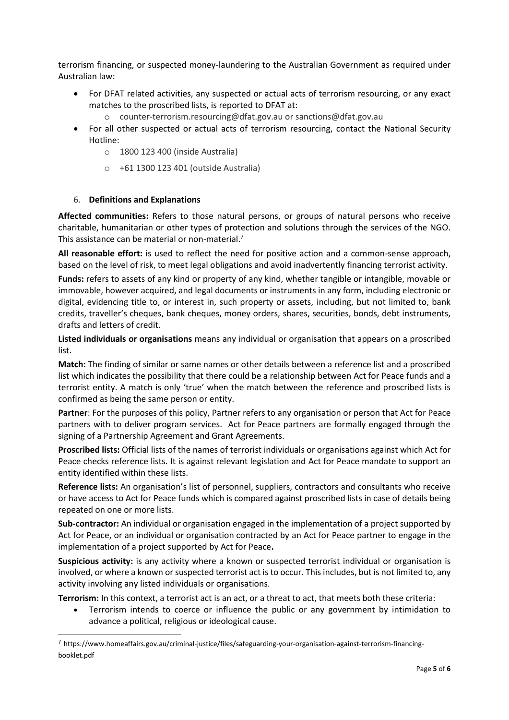terrorism financing, or suspected money-laundering to the Australian Government as required under Australian law:

- For DFAT related activities, any suspected or actual acts of terrorism resourcing, or any exact matches to the proscribed lists, is reported to DFAT at:
	- o [counter-terrorism.resourcing@dfat.gov.au](mailto:counter-terrorism.resourcing@dfat.gov.au) o[r sanctions@dfat.gov.au](mailto:sanctions@dfat.gov.au)
- For all other suspected or actual acts of terrorism resourcing, contact the National Security Hotline:
	- o 1800 123 400 (inside Australia)
	- o +61 1300 123 401 (outside Australia)

### 6. **Definitions and Explanations**

**Affected communities:** Refers to those natural persons, or groups of natural persons who receive charitable, humanitarian or other types of protection and solutions through the services of the NGO. This assistance can be material or non-material.<sup>7</sup>

**All reasonable effort:** is used to reflect the need for positive action and a common-sense approach, based on the level of risk, to meet legal obligations and avoid inadvertently financing terrorist activity.

**Funds:** refers to assets of any kind or property of any kind, whether tangible or intangible, movable or immovable, however acquired, and legal documents or instruments in any form, including electronic or digital, evidencing title to, or interest in, such property or assets, including, but not limited to, bank credits, traveller's cheques, bank cheques, money orders, shares, securities, bonds, debt instruments, drafts and letters of credit.

**Listed individuals or organisations** means any individual or organisation that appears on a proscribed list.

**Match:** The finding of similar or same names or other details between a reference list and a proscribed list which indicates the possibility that there could be a relationship between Act for Peace funds and a terrorist entity. A match is only 'true' when the match between the reference and proscribed lists is confirmed as being the same person or entity.

**Partner**: For the purposes of this policy, Partner refers to any organisation or person that Act for Peace partners with to deliver program services. Act for Peace partners are formally engaged through the signing of a Partnership Agreement and Grant Agreements.

**Proscribed lists:** Official lists of the names of terrorist individuals or organisations against which Act for Peace checks reference lists. It is against relevant legislation and Act for Peace mandate to support an entity identified within these lists.

**Reference lists:** An organisation's list of personnel, suppliers, contractors and consultants who receive or have access to Act for Peace funds which is compared against proscribed lists in case of details being repeated on one or more lists.

**Sub-contractor:** An individual or organisation engaged in the implementation of a project supported by Act for Peace, or an individual or organisation contracted by an Act for Peace partner to engage in the implementation of a project supported by Act for Peace**.** 

**Suspicious activity:** is any activity where a known or suspected terrorist individual or organisation is involved, or where a known or suspected terrorist act is to occur. This includes, but is not limited to, any activity involving any listed individuals or organisations.

**Terrorism:** In this context, a terrorist act is an act, or a threat to act, that meets both these criteria:

• Terrorism intends to coerce or influence the public or any government by intimidation to advance a political, religious or ideological cause.

<sup>7</sup> https://www.homeaffairs.gov.au/criminal-justice/files/safeguarding-your-organisation-against-terrorism-financingbooklet.pdf